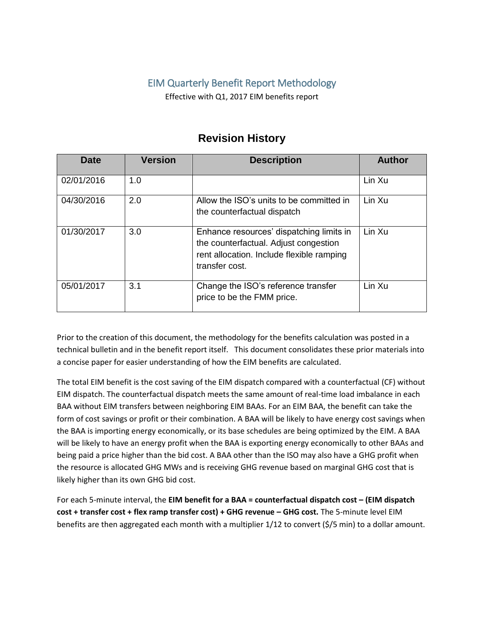# EIM Quarterly Benefit Report Methodology

Effective with Q1, 2017 EIM benefits report

| Date       | <b>Version</b> | <b>Description</b>                                                                                                                               | <b>Author</b> |
|------------|----------------|--------------------------------------------------------------------------------------------------------------------------------------------------|---------------|
| 02/01/2016 | 1.0            |                                                                                                                                                  | Lin Xu        |
| 04/30/2016 | 2.0            | Allow the ISO's units to be committed in<br>the counterfactual dispatch                                                                          | Lin Xu        |
| 01/30/2017 | 3.0            | Enhance resources' dispatching limits in<br>the counterfactual. Adjust congestion<br>rent allocation. Include flexible ramping<br>transfer cost. | Lin Xu        |
| 05/01/2017 | 3.1            | Change the ISO's reference transfer<br>price to be the FMM price.                                                                                | Lin Xu        |

# **Revision History**

Prior to the creation of this document, the methodology for the benefits calculation was posted in a technical bulletin and in the benefit report itself. This document consolidates these prior materials into a concise paper for easier understanding of how the EIM benefits are calculated.

The total EIM benefit is the cost saving of the EIM dispatch compared with a counterfactual (CF) without EIM dispatch. The counterfactual dispatch meets the same amount of real-time load imbalance in each BAA without EIM transfers between neighboring EIM BAAs. For an EIM BAA, the benefit can take the form of cost savings or profit or their combination. A BAA will be likely to have energy cost savings when the BAA is importing energy economically, or its base schedules are being optimized by the EIM. A BAA will be likely to have an energy profit when the BAA is exporting energy economically to other BAAs and being paid a price higher than the bid cost. A BAA other than the ISO may also have a GHG profit when the resource is allocated GHG MWs and is receiving GHG revenue based on marginal GHG cost that is likely higher than its own GHG bid cost.

For each 5-minute interval, the **EIM benefit for a BAA = counterfactual dispatch cost – (EIM dispatch cost + transfer cost + flex ramp transfer cost) + GHG revenue – GHG cost.** The 5-minute level EIM benefits are then aggregated each month with a multiplier 1/12 to convert (\$/5 min) to a dollar amount.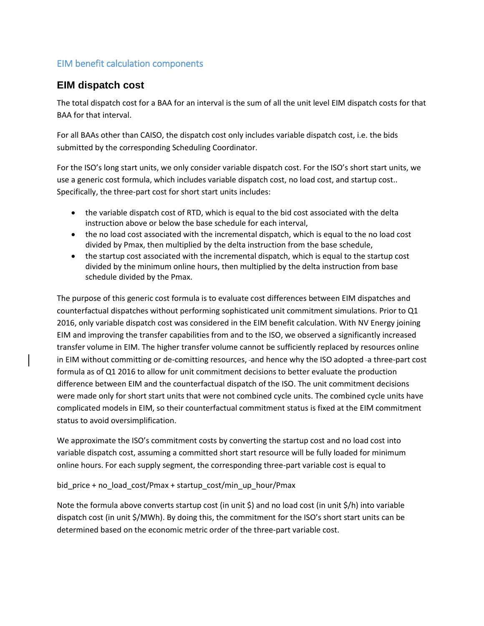# EIM benefit calculation components

# **EIM dispatch cost**

The total dispatch cost for a BAA for an interval is the sum of all the unit level EIM dispatch costs for that BAA for that interval.

For all BAAs other than CAISO, the dispatch cost only includes variable dispatch cost, i.e. the bids submitted by the corresponding Scheduling Coordinator.

For the ISO's long start units, we only consider variable dispatch cost. For the ISO's short start units, we use a generic cost formula, which includes variable dispatch cost, no load cost, and startup cost.. Specifically, the three-part cost for short start units includes:

- the variable dispatch cost of RTD, which is equal to the bid cost associated with the delta instruction above or below the base schedule for each interval,
- the no load cost associated with the incremental dispatch, which is equal to the no load cost divided by Pmax, then multiplied by the delta instruction from the base schedule,
- the startup cost associated with the incremental dispatch, which is equal to the startup cost divided by the minimum online hours, then multiplied by the delta instruction from base schedule divided by the Pmax.

The purpose of this generic cost formula is to evaluate cost differences between EIM dispatches and counterfactual dispatches without performing sophisticated unit commitment simulations. Prior to Q1 2016, only variable dispatch cost was considered in the EIM benefit calculation. With NV Energy joining EIM and improving the transfer capabilities from and to the ISO, we observed a significantly increased transfer volume in EIM. The higher transfer volume cannot be sufficiently replaced by resources online in EIM without committing or de-comitting resources, -and hence why the ISO adopted -a three-part cost formula as of Q1 2016 to allow for unit commitment decisions to better evaluate the production difference between EIM and the counterfactual dispatch of the ISO. The unit commitment decisions were made only for short start units that were not combined cycle units. The combined cycle units have complicated models in EIM, so their counterfactual commitment status is fixed at the EIM commitment status to avoid oversimplification.

We approximate the ISO's commitment costs by converting the startup cost and no load cost into variable dispatch cost, assuming a committed short start resource will be fully loaded for minimum online hours. For each supply segment, the corresponding three-part variable cost is equal to

#### bid\_price + no\_load\_cost/Pmax + startup\_cost/min\_up\_hour/Pmax

Note the formula above converts startup cost (in unit \$) and no load cost (in unit \$/h) into variable dispatch cost (in unit \$/MWh). By doing this, the commitment for the ISO's short start units can be determined based on the economic metric order of the three-part variable cost.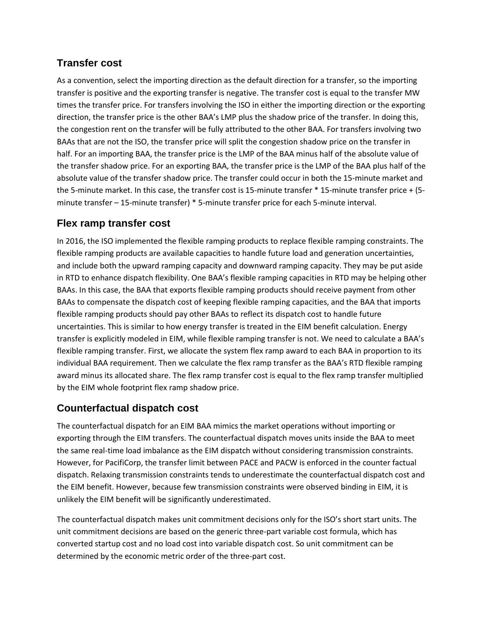# **Transfer cost**

As a convention, select the importing direction as the default direction for a transfer, so the importing transfer is positive and the exporting transfer is negative. The transfer cost is equal to the transfer MW times the transfer price. For transfers involving the ISO in either the importing direction or the exporting direction, the transfer price is the other BAA's LMP plus the shadow price of the transfer. In doing this, the congestion rent on the transfer will be fully attributed to the other BAA. For transfers involving two BAAs that are not the ISO, the transfer price will split the congestion shadow price on the transfer in half. For an importing BAA, the transfer price is the LMP of the BAA minus half of the absolute value of the transfer shadow price. For an exporting BAA, the transfer price is the LMP of the BAA plus half of the absolute value of the transfer shadow price. The transfer could occur in both the 15-minute market and the 5-minute market. In this case, the transfer cost is 15-minute transfer \* 15-minute transfer price + (5 minute transfer – 15-minute transfer) \* 5-minute transfer price for each 5-minute interval.

# **Flex ramp transfer cost**

In 2016, the ISO implemented the flexible ramping products to replace flexible ramping constraints. The flexible ramping products are available capacities to handle future load and generation uncertainties, and include both the upward ramping capacity and downward ramping capacity. They may be put aside in RTD to enhance dispatch flexibility. One BAA's flexible ramping capacities in RTD may be helping other BAAs. In this case, the BAA that exports flexible ramping products should receive payment from other BAAs to compensate the dispatch cost of keeping flexible ramping capacities, and the BAA that imports flexible ramping products should pay other BAAs to reflect its dispatch cost to handle future uncertainties. This is similar to how energy transfer is treated in the EIM benefit calculation. Energy transfer is explicitly modeled in EIM, while flexible ramping transfer is not. We need to calculate a BAA's flexible ramping transfer. First, we allocate the system flex ramp award to each BAA in proportion to its individual BAA requirement. Then we calculate the flex ramp transfer as the BAA's RTD flexible ramping award minus its allocated share. The flex ramp transfer cost is equal to the flex ramp transfer multiplied by the EIM whole footprint flex ramp shadow price.

# **Counterfactual dispatch cost**

The counterfactual dispatch for an EIM BAA mimics the market operations without importing or exporting through the EIM transfers. The counterfactual dispatch moves units inside the BAA to meet the same real-time load imbalance as the EIM dispatch without considering transmission constraints. However, for PacifiCorp, the transfer limit between PACE and PACW is enforced in the counter factual dispatch. Relaxing transmission constraints tends to underestimate the counterfactual dispatch cost and the EIM benefit. However, because few transmission constraints were observed binding in EIM, it is unlikely the EIM benefit will be significantly underestimated.

The counterfactual dispatch makes unit commitment decisions only for the ISO's short start units. The unit commitment decisions are based on the generic three-part variable cost formula, which has converted startup cost and no load cost into variable dispatch cost. So unit commitment can be determined by the economic metric order of the three-part cost.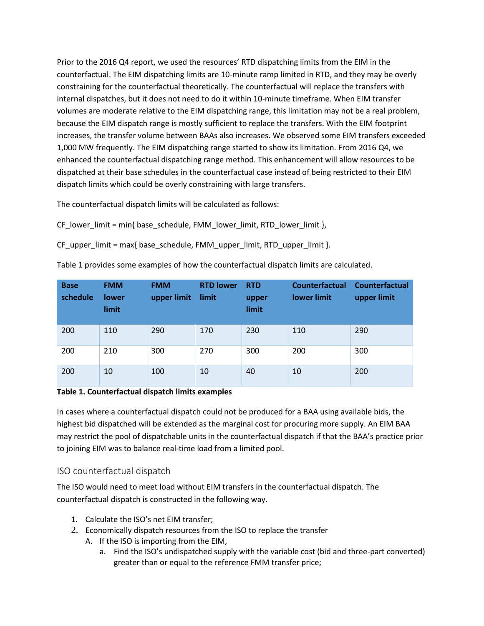Prior to the 2016 Q4 report, we used the resources' RTD dispatching limits from the EIM in the counterfactual. The EIM dispatching limits are 10-minute ramp limited in RTD, and they may be overly constraining for the counterfactual theoretically. The counterfactual will replace the transfers with internal dispatches, but it does not need to do it within 10-minute timeframe. When EIM transfer volumes are moderate relative to the EIM dispatching range, this limitation may not be a real problem, because the EIM dispatch range is mostly sufficient to replace the transfers. With the EIM footprint increases, the transfer volume between BAAs also increases. We observed some EIM transfers exceeded 1,000 MW frequently. The EIM dispatching range started to show its limitation. From 2016 Q4, we enhanced the counterfactual dispatching range method. This enhancement will allow resources to be dispatched at their base schedules in the counterfactual case instead of being restricted to their EIM dispatch limits which could be overly constraining with large transfers.

The counterfactual dispatch limits will be calculated as follows:

CF\_lower\_limit = min{ base\_schedule, FMM\_lower\_limit, RTD\_lower\_limit },

CF\_upper\_limit = max{ base\_schedule, FMM\_upper\_limit, RTD\_upper\_limit }.

| <b>Base</b><br>schedule | <b>FMM</b><br><b>lower</b><br>limit | <b>FMM</b><br>upper limit | <b>RTD lower</b><br>limit | <b>RTD</b><br>upper<br>limit | Counterfactual<br>lower limit | <b>Counterfactual</b><br>upper limit |
|-------------------------|-------------------------------------|---------------------------|---------------------------|------------------------------|-------------------------------|--------------------------------------|
| 200                     | 110                                 | 290                       | 170                       | 230                          | 110                           | 290                                  |
| 200                     | 210                                 | 300                       | 270                       | 300                          | 200                           | 300                                  |
| 200                     | 10                                  | 100                       | 10                        | 40                           | 10                            | 200                                  |

Table 1 provides some examples of how the counterfactual dispatch limits are calculated.

#### **Table 1. Counterfactual dispatch limits examples**

In cases where a counterfactual dispatch could not be produced for a BAA using available bids, the highest bid dispatched will be extended as the marginal cost for procuring more supply. An EIM BAA may restrict the pool of dispatchable units in the counterfactual dispatch if that the BAA's practice prior to joining EIM was to balance real-time load from a limited pool.

#### ISO counterfactual dispatch

The ISO would need to meet load without EIM transfers in the counterfactual dispatch. The counterfactual dispatch is constructed in the following way.

- 1. Calculate the ISO's net EIM transfer;
- 2. Economically dispatch resources from the ISO to replace the transfer
	- A. If the ISO is importing from the EIM,
		- a. Find the ISO's undispatched supply with the variable cost (bid and three-part converted) greater than or equal to the reference FMM transfer price;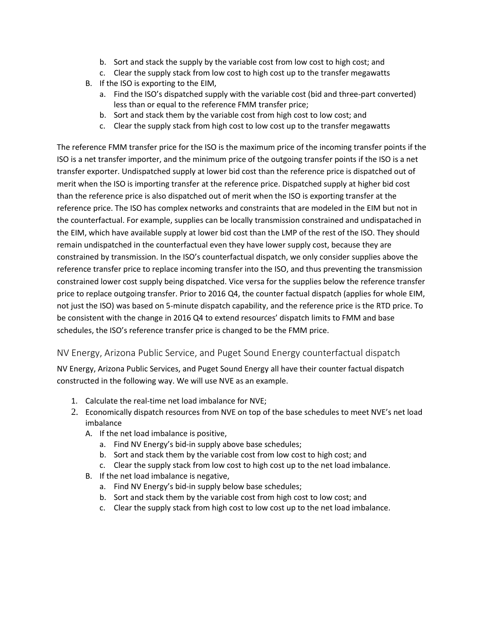- b. Sort and stack the supply by the variable cost from low cost to high cost; and
- c. Clear the supply stack from low cost to high cost up to the transfer megawatts
- B. If the ISO is exporting to the EIM,
	- a. Find the ISO's dispatched supply with the variable cost (bid and three-part converted) less than or equal to the reference FMM transfer price;
	- b. Sort and stack them by the variable cost from high cost to low cost; and
	- c. Clear the supply stack from high cost to low cost up to the transfer megawatts

The reference FMM transfer price for the ISO is the maximum price of the incoming transfer points if the ISO is a net transfer importer, and the minimum price of the outgoing transfer points if the ISO is a net transfer exporter. Undispatched supply at lower bid cost than the reference price is dispatched out of merit when the ISO is importing transfer at the reference price. Dispatched supply at higher bid cost than the reference price is also dispatched out of merit when the ISO is exporting transfer at the reference price. The ISO has complex networks and constraints that are modeled in the EIM but not in the counterfactual. For example, supplies can be locally transmission constrained and undispatached in the EIM, which have available supply at lower bid cost than the LMP of the rest of the ISO. They should remain undispatched in the counterfactual even they have lower supply cost, because they are constrained by transmission. In the ISO's counterfactual dispatch, we only consider supplies above the reference transfer price to replace incoming transfer into the ISO, and thus preventing the transmission constrained lower cost supply being dispatched. Vice versa for the supplies below the reference transfer price to replace outgoing transfer. Prior to 2016 Q4, the counter factual dispatch (applies for whole EIM, not just the ISO) was based on 5-minute dispatch capability, and the reference price is the RTD price. To be consistent with the change in 2016 Q4 to extend resources' dispatch limits to FMM and base schedules, the ISO's reference transfer price is changed to be the FMM price.

### NV Energy, Arizona Public Service, and Puget Sound Energy counterfactual dispatch

NV Energy, Arizona Public Services, and Puget Sound Energy all have their counter factual dispatch constructed in the following way. We will use NVE as an example.

- 1. Calculate the real-time net load imbalance for NVE;
- 2. Economically dispatch resources from NVE on top of the base schedules to meet NVE's net load imbalance
	- A. If the net load imbalance is positive,
		- a. Find NV Energy's bid-in supply above base schedules;
		- b. Sort and stack them by the variable cost from low cost to high cost; and
		- c. Clear the supply stack from low cost to high cost up to the net load imbalance.
	- B. If the net load imbalance is negative,
		- a. Find NV Energy's bid-in supply below base schedules;
		- b. Sort and stack them by the variable cost from high cost to low cost; and
		- c. Clear the supply stack from high cost to low cost up to the net load imbalance.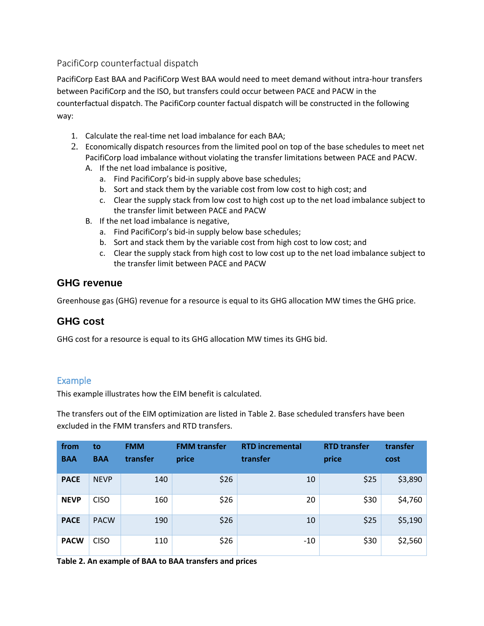## PacifiCorp counterfactual dispatch

PacifiCorp East BAA and PacifiCorp West BAA would need to meet demand without intra-hour transfers between PacifiCorp and the ISO, but transfers could occur between PACE and PACW in the counterfactual dispatch. The PacifiCorp counter factual dispatch will be constructed in the following way:

- 1. Calculate the real-time net load imbalance for each BAA;
- 2. Economically dispatch resources from the limited pool on top of the base schedules to meet net PacifiCorp load imbalance without violating the transfer limitations between PACE and PACW.
	- A. If the net load imbalance is positive,
		- a. Find PacifiCorp's bid-in supply above base schedules;
		- b. Sort and stack them by the variable cost from low cost to high cost; and
		- c. Clear the supply stack from low cost to high cost up to the net load imbalance subject to the transfer limit between PACE and PACW
	- B. If the net load imbalance is negative,
		- a. Find PacifiCorp's bid-in supply below base schedules;
		- b. Sort and stack them by the variable cost from high cost to low cost; and
		- c. Clear the supply stack from high cost to low cost up to the net load imbalance subject to the transfer limit between PACE and PACW

# **GHG revenue**

Greenhouse gas (GHG) revenue for a resource is equal to its GHG allocation MW times the GHG price.

# **GHG cost**

GHG cost for a resource is equal to its GHG allocation MW times its GHG bid.

### Example

This example illustrates how the EIM benefit is calculated.

The transfers out of the EIM optimization are listed in Table 2. Base scheduled transfers have been excluded in the FMM transfers and RTD transfers.

| from<br><b>BAA</b> | to<br><b>BAA</b> | <b>FMM</b><br>transfer | <b>FMM</b> transfer<br>price | <b>RTD incremental</b><br>transfer | <b>RTD transfer</b><br>price | transfer<br>cost |
|--------------------|------------------|------------------------|------------------------------|------------------------------------|------------------------------|------------------|
| <b>PACE</b>        | <b>NEVP</b>      | 140                    | \$26                         | 10                                 | \$25                         | \$3,890          |
| <b>NEVP</b>        | <b>CISO</b>      | 160                    | \$26                         | 20                                 | \$30                         | \$4,760          |
| <b>PACE</b>        | <b>PACW</b>      | 190                    | \$26                         | 10                                 | \$25                         | \$5,190          |
| <b>PACW</b>        | <b>CISO</b>      | 110                    | \$26                         | $-10$                              | \$30                         | \$2,560          |

**Table 2. An example of BAA to BAA transfers and prices**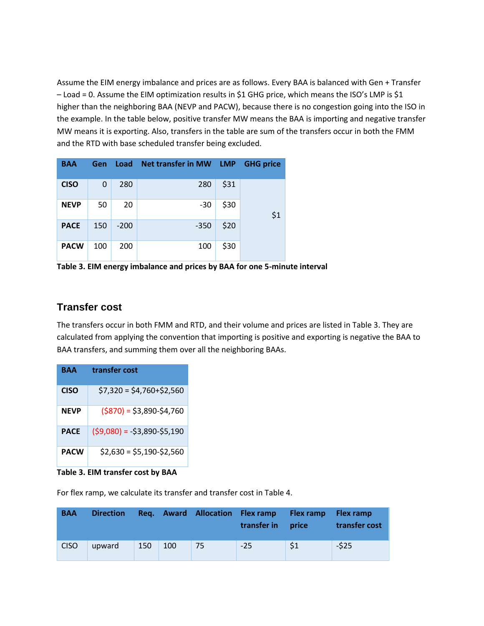Assume the EIM energy imbalance and prices are as follows. Every BAA is balanced with Gen + Transfer – Load = 0. Assume the EIM optimization results in \$1 GHG price, which means the ISO's LMP is \$1 higher than the neighboring BAA (NEVP and PACW), because there is no congestion going into the ISO in the example. In the table below, positive transfer MW means the BAA is importing and negative transfer MW means it is exporting. Also, transfers in the table are sum of the transfers occur in both the FMM and the RTD with base scheduled transfer being excluded.

| <b>BAA</b>  | <b>Gen</b>  | Load   | Net transfer in MW LMP |      | <b>GHG price</b> |
|-------------|-------------|--------|------------------------|------|------------------|
| <b>CISO</b> | $\mathbf 0$ | 280    | 280                    | \$31 |                  |
| <b>NEVP</b> | 50          | 20     | $-30$                  | \$30 | \$1              |
| <b>PACE</b> | 150         | $-200$ | $-350$                 | \$20 |                  |
| <b>PACW</b> | 100         | 200    | 100                    | \$30 |                  |

**Table 3. EIM energy imbalance and prices by BAA for one 5-minute interval**

### **Transfer cost**

The transfers occur in both FMM and RTD, and their volume and prices are listed in Table 3. They are calculated from applying the convention that importing is positive and exporting is negative the BAA to BAA transfers, and summing them over all the neighboring BAAs.

| RAA         | transfer cost                 |
|-------------|-------------------------------|
| <b>CISO</b> | $$7,320 = $4,760+ $2,560$     |
| <b>NEVP</b> | $(5870) = 53,890-54,760$      |
| <b>PACE</b> | $(59,080) = -53,890 - 55,190$ |
| <b>PACW</b> | $$2,630 = $5,190 - $2,560$    |

**Table 3. EIM transfer cost by BAA**

For flex ramp, we calculate its transfer and transfer cost in Table 4.

| <b>BAA</b>  | <b>Direction</b> |     |     | Req. Award Allocation Flex ramp | transfer in | <b>Flex ramp</b><br>price | Flex ramp<br>transfer cost |
|-------------|------------------|-----|-----|---------------------------------|-------------|---------------------------|----------------------------|
| <b>CISO</b> | upward           | 150 | 100 | 75                              | $-25$       | $\mathsf{S}1$             | $-525$                     |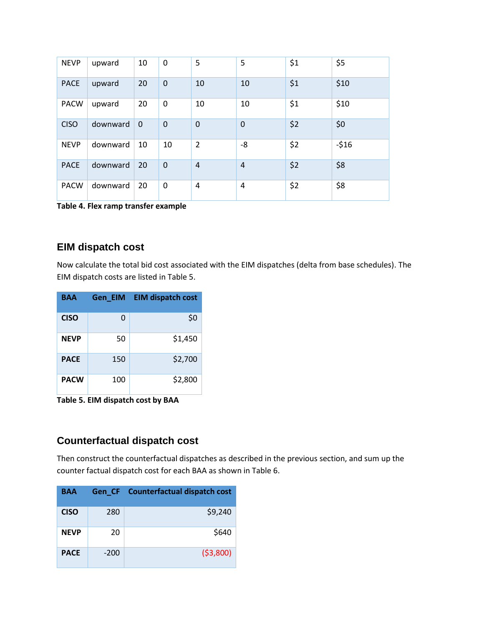| <b>NEVP</b> | upward   | 10          | $\mathbf 0$    | 5              | 5              | \$1 | \$5    |
|-------------|----------|-------------|----------------|----------------|----------------|-----|--------|
| <b>PACE</b> | upward   | 20          | $\mathbf 0$    | 10             | 10             | \$1 | \$10   |
| <b>PACW</b> | upward   | 20          | $\mathbf 0$    | 10             | 10             | \$1 | \$10   |
| <b>CISO</b> | downward | $\mathbf 0$ | $\mathbf 0$    | $\mathbf 0$    | $\mathbf 0$    | \$2 | \$0    |
| <b>NEVP</b> | downward | 10          | 10             | $\overline{2}$ | -8             | \$2 | $-516$ |
| <b>PACE</b> | downward | 20          | $\overline{0}$ | $\overline{4}$ | $\overline{4}$ | \$2 | \$8    |
| <b>PACW</b> | downward | 20          | 0              | 4              | 4              | \$2 | \$8    |

**Table 4. Flex ramp transfer example**

# **EIM dispatch cost**

Now calculate the total bid cost associated with the EIM dispatches (delta from base schedules). The EIM dispatch costs are listed in Table 5.

| <b>BAA</b>  |     | Gen EIM EIM dispatch cost |
|-------------|-----|---------------------------|
| <b>CISO</b> | 0   | \$0                       |
| <b>NEVP</b> | 50  | \$1,450                   |
| <b>PACE</b> | 150 | \$2,700                   |
| <b>PACW</b> | 100 | \$2,800                   |

**Table 5. EIM dispatch cost by BAA**

# **Counterfactual dispatch cost**

Then construct the counterfactual dispatches as described in the previous section, and sum up the counter factual dispatch cost for each BAA as shown in Table 6.

| <b>BAA</b>  |        | Gen CF Counterfactual dispatch cost |
|-------------|--------|-------------------------------------|
| <b>CISO</b> | 280    | \$9,240                             |
| <b>NEVP</b> | 20     | \$640                               |
| <b>PACE</b> | $-200$ | (53,800)                            |